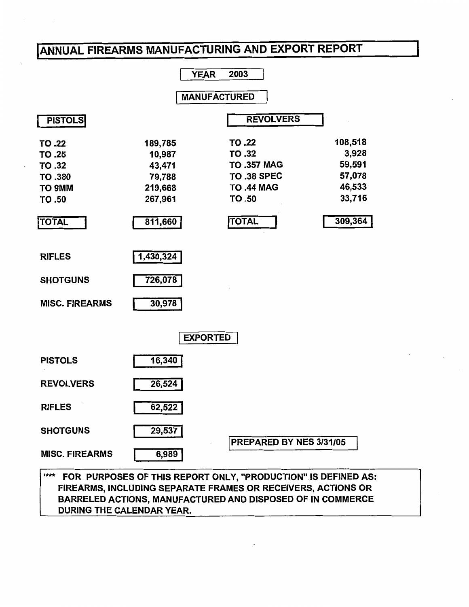# IANNUAL FIREARMS MANUFACTURING AND EXPORT REPORT



FIREARMS, INCLUDING SEPARATE FRAMES OR RECEIVERS, ACTIONS OR BARRELED ACTIONS, MANUFACTURED AND DISPOSED OF IN COMMERCE DURING THE CALENDAR YEAR.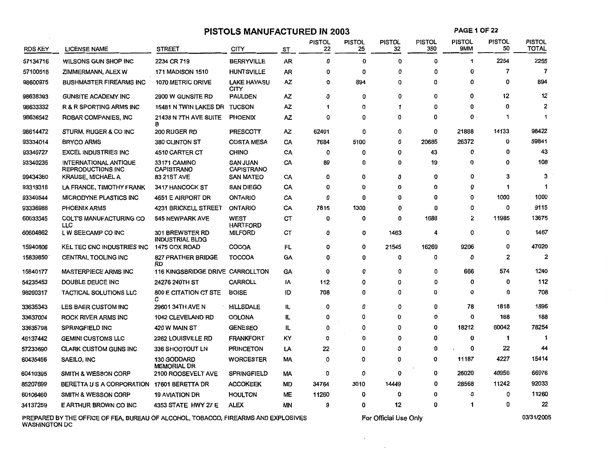# **PISTOLS MANUFACTURED IN 2003**

**PAGE 1 OF22** 

| <b>RDS KEY</b> | <b>LICENSE NAME</b>                                      | <b>STREET</b>                                    | CITY                                 | ST        | <b>PISTOL</b><br>22 | <b>PISTOL</b><br>25 | <b>PISTOL</b><br>32 | PISTOL<br>380 | <b>PISTOL</b><br>9MM | <b>PISTOL</b><br>50 | <b>PISTOL</b><br><b>TOTAL</b> |
|----------------|----------------------------------------------------------|--------------------------------------------------|--------------------------------------|-----------|---------------------|---------------------|---------------------|---------------|----------------------|---------------------|-------------------------------|
| 57134716       | WILSONS GUN SHOP INC                                     | 2234 CR 719                                      | <b>BERRYVILLE</b>                    | AR        | 0                   | 0                   | 0                   | 0             | 1                    | 2254                | 2255                          |
| 57100518       | ZIMMERMANN, ALEX W                                       | <b>171 MADISON 1510</b>                          | <b>HUNTSVILLE</b>                    | AR        | Ω                   | 0                   | 0                   | 0             | 0                    | 7                   | $\overline{7}$                |
| 98600975       | BUSHMASTER FIREARMS INC                                  | 1070 METRIC DRIVE                                | <b>LAKE HAVASU</b><br><b>CITY</b>    | AZ        | 0                   | 894                 | 0                   | 0             | 0                    | $\mathbf 0$         | 894                           |
| 98638393       | <b>GUNSITE ACADEMY INC</b>                               | 2900 W GUNSITE RD                                | <b>PAULDEN</b>                       | ΑZ        | 0                   | 0                   | 0                   | 0             | 0                    | 12                  | 12                            |
| 98633332       | R & R SPORTING ARMS INC                                  | 15481 N TWIN LAKES DR                            | <b>TUCSON</b>                        | AZ        | 1                   | 0                   | 1                   | 0             | 0                    | 0                   | 2                             |
| 98636542       | ROBAR COMPANIES, INC.                                    | 21438 N 7TH AVE SUITE<br>в                       | <b>PHOENIX</b>                       | AZ        | 0                   | 0                   | 0                   | 0             | 0                    | $\mathbf 1$         | 1                             |
| 98614472       | STURM, RUGER & CO INC                                    | 200 RUGER RD                                     | PRESCOTT                             | ΑZ        | 62401               | 0                   | 0                   | 0             | 21888                | 14133               | 98422                         |
| 93334014       | <b>BRYCO ARMS</b>                                        | 380 CLINTON ST                                   | <b>COSTA MESA</b>                    | CA        | 7684                | 5100                | 0                   | 20685         | 26372                | 0                   | 59841                         |
| 93340727       | <b>EXCEL INDUSTRIES INC</b>                              | 4510 CARTER CT                                   | <b>CHINO</b>                         | CA        | 0                   | 0                   | 0                   | 43            | 0                    | $\mathbf 0$         | 43                            |
| 93340235       | <b>INTERNATIONAL ANTIQUE</b><br><b>REPRODUCTIONS INC</b> | <b>33171 CAMINO</b><br><b>CAPISTRANO</b>         | <b>SAN JUAN</b><br><b>CAPISTRANO</b> | CA        | 89                  | 0                   | 0                   | 19            | 0                    | 0                   | 108                           |
| 99434360       | <b>KRAUSE, MICHAEL A</b>                                 | <b>83 21ST AVE</b>                               | <b>SAN MATEO</b>                     | CA        | 0                   | 0                   | 0                   | 0             | 0                    | 3                   | 3                             |
| 93319318       | LA FRANCE, TIMOTHY FRANK                                 | 3417 HANCOCK ST                                  | <b>SAN DIEGO</b>                     | CA        | 0                   | O                   | $\Omega$            | 0             | $\Omega$             | 1                   | $\mathbf 1$                   |
| 93340544       | MICRODYNE PLASTICS INC                                   | 4651 E AIRPORT DR                                | <b>ONTARIO</b>                       | CA        | 0                   | 0                   | O                   | 0             | 0                    | 1000                | 1000                          |
| 93336988       | <b>PHOENIX ARMS</b>                                      | <b>4231 BRICKELL STREET</b>                      | <b>ONTARIO</b>                       | CA        | 7815                | 1300                | 0                   | 0             | 0                    | 0                   | 9115                          |
| 60633345       | <b>COLT'S MANUFACTURING CO</b><br>LLC.                   | <b>545 NEWPARK AVE</b>                           | <b>WEST</b><br><b>HARTFORD</b>       | <b>CT</b> | 0                   | 0                   | 0                   | 1688          | $\overline{2}$       | 11985               | 13675                         |
| 60604862       | L W SEECAMP CO INC                                       | <b>301 BREWSTER RD</b><br><b>INDUSTRIAL BLDG</b> | <b>MILFORD</b>                       | CT        | 0                   | 0                   | 1463                | 4             | $\mathbf 0$          | 0                   | 1467                          |
| 15940806       | KEL TEC CNC INDUSTRIES INC                               | 1475 COX ROAD                                    | <b>COCOA</b>                         | FL        | 0                   | 0                   | 21545               | 16269         | 9206                 | 0                   | 47020                         |
| 15839850       | <b>CENTRAL TOOLING INC</b>                               | 827 PRATHER BRIDGE<br>RD                         | <b>TOCCOA</b>                        | <b>GA</b> | 0                   | 0                   | 0                   | 0             | $\bf{0}$             | $\overline{2}$      | $\overline{2}$                |
| 15840177       | <b>MASTERPIECE ARMS INC</b>                              | 116 KINGSBRIDGE DRIVE CARROLLTON                 |                                      | GA        | 0                   | 0                   | 0                   | 0             | 666                  | 574                 | 1240                          |
| 54235453       | DOUBLE DEUCE INC                                         | 24276 240TH ST                                   | <b>CARROLL</b>                       | ΙA        | 112                 | 0                   | 0                   | 0             | 0                    | 0                   | 112                           |
| 98200317       | <b>TACTICAL SOLUTIONS LLC</b>                            | 800 E CITATION CT STE<br>с                       | <b>BOISE</b>                         | ID        | 708                 | 0                   | 0                   | 0             | 0                    | 0                   | 708                           |
| 33635343       | LES BAER CUSTOM INC                                      | 29601 34TH AVE N                                 | <b>HILLSDALE</b>                     | IL        | 0                   | 0                   | 0                   | 0             | 78                   | 1818                | 1896                          |
| 33637004       | <b>ROCK RIVER ARMS INC</b>                               | 1042 CLEVELAND RD                                | <b>COLONA</b>                        | IL        | 0                   | 0                   | 0                   | 0             | 0                    | 188                 | 188                           |
| 33635798       | <b>SPRINGFIELD INC</b>                                   | 420 W MAIN ST                                    | <b>GENESEO</b>                       | IL.       | 0                   | 0                   | 0                   | 0             | 18212                | 60042               | 78254                         |
| 46137442       | <b>GEMINI CUSTOMS LLC</b>                                | 2262 LOUISVILLE RD                               | <b>FRANKFORT</b>                     | ΚY        | 0                   | 0                   | 0                   | 0             | $\bf{0}$             | 1                   | -1                            |
| 57233690       | <b>CLARK CUSTOM GUNS INC</b>                             | 336 SHOOTOUT LN                                  | <b>PRINCETON</b>                     | LA        | 22                  | 0                   | 0                   | 0             | 0                    | 22                  | 44                            |
| 60435456       | SAEILO, INC                                              | 130 GODDARD<br><b>MEMORIAL DR</b>                | <b>WORCESTER</b>                     | МA        | 0                   | 0                   | 0                   | 0             | 11187                | 4227                | 15414                         |
| 60410395       | <b>SMITH &amp; WESSON CORP</b>                           | 2100 ROOSEVELT AVE                               | <b>SPRINGFIELD</b>                   | МA        | 0                   | 0                   | 0                   | 0             | 26020                | 40956               | 66976                         |
| 85207699       | BERETTA U S A CORPORATION                                | 17601 BERETTA DR                                 | <b>ACCOKEEK</b>                      | МD        | 34764               | 3010                | 14449               | 0             | 28568                | 11242               | 92033                         |
| 60106460       | <b>SMITH &amp; WESSON CORP</b>                           | <b>19 AVIATION DR</b>                            | <b>HOULTON</b>                       | <b>ME</b> | 11260               | 0                   | 0                   | 0             | 0                    | 0                   | 11260                         |
| 34137259       | E ARTHUR BROWN CO INC                                    | 4353 STATE HWY 27 E                              | <b>ALEX</b>                          | ΜN        | 9                   | 0                   | 12                  | 0             | 1                    | 0                   | 22                            |

PREPARED BY THE OFFICE OF FEA, BUREAU OF ALCOHOL, TOBACCO, FIREARMS AND EXPLOSIVES WASHINGTON DC

For Official Use Only

 $\sim$ 

 $\sim$ 

03/31/2005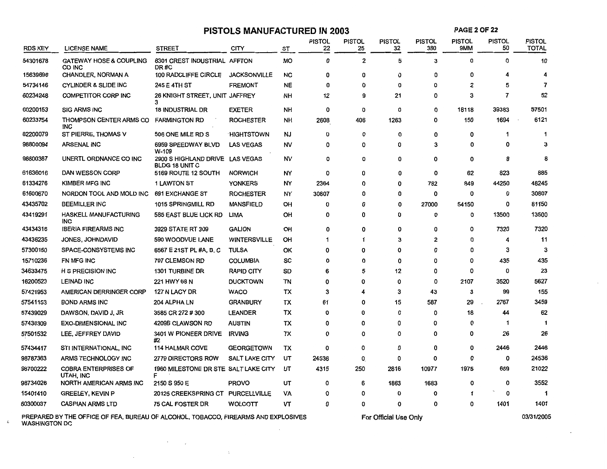| <b>RDS KEY</b> | <b>LICENSE NAME</b>                      | <b>STREET</b>                                            | CITY                  | ST        | <b>PISTOL</b><br>22 | <b>PISTOL</b><br>25 | <b>PISTOL</b><br>32 | <b>PISTOL</b><br>380 | PISTOL<br>9MM | <b>PISTOL</b><br>50 | <b>PISTOL</b><br>TOTAL |
|----------------|------------------------------------------|----------------------------------------------------------|-----------------------|-----------|---------------------|---------------------|---------------------|----------------------|---------------|---------------------|------------------------|
| 54301678       | <b>GATEWAY HOSE &amp; COUPLING</b>       | 8301 CREST INDUSTRIAL AFFTON                             |                       | <b>MO</b> | 0                   | $\overline{2}$      | 5                   | 3                    | n             | $\Omega$            | 10                     |
|                | CO INC                                   | DR#C                                                     |                       |           |                     |                     |                     |                      |               |                     |                        |
| 15639696       | <b>CHANDLER, NORMAN A</b>                | 100 RADCLIFFE CIRCLE                                     | <b>JACKSONVILLE</b>   | <b>NC</b> | 0                   | 0                   | 0                   | 0                    | Ω             | 4                   | 4                      |
| 54734146       | <b>CYLINDER &amp; SLIDE INC</b>          | <b>245 E 4TH ST</b>                                      | <b>FREMONT</b>        | <b>NE</b> | 0                   | 0                   | n                   | 0                    | 2             | 5                   | 7                      |
| 60234248       | <b>COMPETITOR CORP INC</b>               | 26 KNIGHT STREET, UNIT JAFFREY<br>3                      |                       | <b>NH</b> | 12                  | 9                   | 21                  | 0                    | 3             | $\overline{7}$      | 52                     |
| 60200153       | <b>SIG ARMS INC</b>                      | <b>18 INDUSTRIAL DR</b>                                  | <b>EXETER</b>         | NН        | 0                   | 0                   | 0                   | 0                    | 18118         | 39383               | 57501                  |
| 60233754       | THOMPSON CENTER ARMS CO<br>INC           | <b>FARMINGTON RD</b>                                     | <b>ROCHESTER</b>      | <b>NH</b> | 2608                | 406                 | 1263                | 0                    | 150           | 1694                | 6121                   |
| 82200079       | ST PIERRE, THOMAS V                      | 506 ONE MILE RD S                                        | <b>HIGHTSTOWN</b>     | ΝJ        | 0                   | 0                   | O                   | 0                    | O             |                     |                        |
| 98800094       | <b>ARSENAL INC</b>                       | 6959 SPEEDWAY BLVD<br>W-109                              | <b>LAS VEGAS</b>      | NV        | 0                   | 0                   | 0                   | 3                    |               | 0                   |                        |
| 98800387       | UNERTL ORDNANCE CO INC                   | 2900 S HIGHLAND DRIVE LAS VEGAS<br><b>BLDG 18 UNIT C</b> |                       | NV        | $\Omega$            | 0                   | $\Omega$            | 0                    | O             | 8                   |                        |
| 61636016       | DAN WESSON CORP                          | 5169 ROUTE 12 SOUTH                                      | <b>NORWICH</b>        | NY        | 0                   | 0                   | 0                   | 0                    | 62            | 823                 | 885                    |
| 61334276       | <b>KIMBER MFG INC</b>                    | <b>1 LAWTON ST</b>                                       | <b>YONKERS</b>        | NY        | 2364                | 0                   | $\Omega$            | 782                  | 849           | 44250               | 48245                  |
| 61600670       | NORDON TOOL AND MOLD INC                 | 691 EXCHANGE ST                                          | <b>ROCHESTER</b>      | NY        | 30807               | n                   | Ω                   | 0                    | O             | 0                   | 30807                  |
| 43435702       | <b>BEEMILLER INC</b>                     | 1015 SPRINGMILL RD                                       | <b>MANSFIELD</b>      | OH        | O                   | 0                   | 0                   | 27000                | 54150         | 0                   | 81150                  |
| 43419291       | <b>HASKELL MANUFACTURING</b><br>INC.     | 585 EAST BLUE LICK RD                                    | <b>LIMA</b>           | он        | 0                   | 0                   | 0                   | 0                    | 0             | 13500               | 13500                  |
| 43434316       | <b>IBERIA FIREARMS INC</b>               | 3929 STATE RT 309                                        | <b>GALION</b>         | OH        | 0                   | 0                   | 0                   | 0                    | 0             | 7320                | 7320                   |
| 43436235       | JONES, JOHNDAVID                         | 590 WOODVUE LANE                                         | <b>WINTERSVILLE</b>   | OH        | 1                   | 1                   | 3                   | $\overline{2}$       | n             | 4                   | 11                     |
| 57300150       | <b>SPACE-CONSYSTEMS INC</b>              | 6567 E 21ST PL #A, B, C                                  | <b>TULSA</b>          | ОΚ        | 0                   | 0                   | O                   | 0                    | Ω             | з                   |                        |
| 15710236       | FN MFG INC                               | 797 CLEMSON RD                                           | <b>COLUMBIA</b>       | SC        | O                   | 0                   | 0                   | 0                    | O             | 435                 | 435                    |
| 34633475       | <b>H S PRECISION INC</b>                 | <b>1301 TURBINE DR</b>                                   | <b>RAPID CITY</b>     | SD        | 6                   | 5                   | 12                  | 0                    | Ω             | 0                   | 23                     |
| 16200523       | <b>LEINAD INC</b>                        | 221 HWY 68 N                                             | <b>DUCKTOWN</b>       | TN        | O                   | 0                   | 0                   | $\Omega$             | 2107          | 3520                | 5627                   |
| 57421953       | AMERICAN DERRINGER CORP                  | 127 N LACY DR                                            | <b>WACO</b>           | тх        | 3                   |                     | 3                   | 43                   | 3             | 99                  | 155                    |
| 57541153       | <b>BOND ARMS INC</b>                     | 204 ALPHA LN                                             | <b>GRANBURY</b>       | ТX        | 61                  | 0                   | 15                  | 587                  | 29            | 2767                | 3459                   |
| 57439029       | DAWSON, DAVID J, JR                      | 3585 CR 272 # 300                                        | <b>LEANDER</b>        | ТX        | 0                   | 0                   | 0                   | 0                    | 18            | 44                  | 62                     |
| 57438309       | <b>EXO-DIMENSIONAL INC</b>               | 4209B CLAWSON RD                                         | <b>AUSTIN</b>         | ТX        | 0                   | O                   | 0                   | 0                    | n             | 1                   |                        |
| 57501532       | LEE, JEFFREY DAVID                       | 3401 W PIONEER DRIVE<br>#2                               | <b>IRVING</b>         | TX        | 0                   | 0                   | 0                   | $\Omega$             | O             | 26                  | 26                     |
| 57434417       | STI INTERNATIONAL, INC                   | <b>114 HALMAR COVE</b>                                   | <b>GEORGETOWN</b>     | TX        | 0                   | 0                   | 0                   | 0                    | 0             | 2446                | 2446                   |
| 98787363       | ARMS TECHNOLOGY INC                      | 2779 DIRECTORS ROW                                       | <b>SALT LAKE CITY</b> | UT        | 24536               | 0                   | 0                   | $\Omega$             | O             | 0                   | 24536                  |
| 98700222       | <b>COBRA ENTERPRISES OF</b><br>UTAH, INC | 1960 MILESTONE DR STE SALT LAKE CITY<br>F                |                       | UT        | 4315                | 250                 | 2816                | 10977                | 1975          | 689                 | 21022                  |
| 98734026       | NORTH AMERICAN ARMS INC                  | 2150 S 950 E                                             | <b>PROVO</b>          | UT        | 0                   | 6                   | 1863                | 1683                 | O             | 0                   | 3552                   |
| 15401410       | <b>GREELEY, KEVIN P</b>                  | 20125 CREEKSPRING CT PURCELLVILLE                        |                       | VA        | 0                   |                     | 0                   | 0                    |               | 0                   |                        |
| 60300037       | <b>CASPIAN ARMS LTD</b>                  | 75 CAL FOSTER DR                                         | <b>WOLCOTT</b>        | VT        | 0                   | 0                   | 0                   | 0                    | 0             | 1401                | 1401                   |

**PISTOLS MANUFACTURED IN 2003** 

PREPARED BY THE OFFICE OF FEA, BUREAU OF ALCOHOL, TOBACCO, FIREARMS AND EXPLOSIVES WASHINGTON DC  $\sim$ 

 $\mathcal{F}^{\text{max}}_{\text{max}}$ 

 $\epsilon$ 

For Official Use Only

03/31/2005

**PAGE20F22**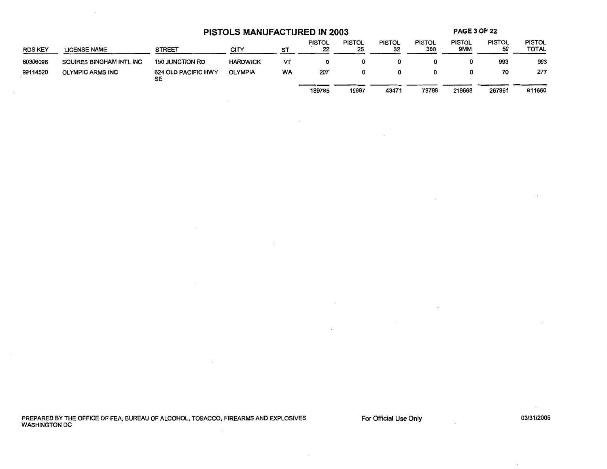**PISTOLS MANUFACTURED IN 2003** 

**PAGE3 OF22** 

| <b>RDS KEY</b> | <b>LICENSE NAME</b>      | <b>STREET</b>             | CITY            | ST        | <b>PISTOL</b><br>22 | <b>PISTOL</b><br>25 | <b>PISTOL</b><br>32 | <b>PISTOL</b><br>380 | <b>PISTOL</b><br>9MM | <b>PISTOL</b><br>50 | <b>PISTOL</b><br>TOTAL |
|----------------|--------------------------|---------------------------|-----------------|-----------|---------------------|---------------------|---------------------|----------------------|----------------------|---------------------|------------------------|
| 60306096       | SQUIRES BINGHAM INTL INC | <b>190 JUNCTION RD</b>    | <b>HARDWICK</b> | VΤ        | 0                   | 0                   |                     |                      |                      | 993                 | 993                    |
| 99114520       | <b>OLYMPIC ARMS INC</b>  | 624 OLD PACIFIC HWY<br>SE | <b>OLYMPIA</b>  | <b>WA</b> | 207                 | 0                   | 0                   |                      |                      | 70                  | 277                    |
|                |                          |                           |                 |           | 189785              | 10987               | 43471               | 79788                | 219668               | 267961              | 811660                 |

 $\sim$ 

PREPARED BY THE OFFICE OF FEA, BUREAU OF ALCOHOL, TOBACCO, FIREARMS AND EXPLOSIVES WASHINGTON DC

For Official Use Only

 $\mathcal{L}_{\mathcal{A}}$ 

2

 $\cdot$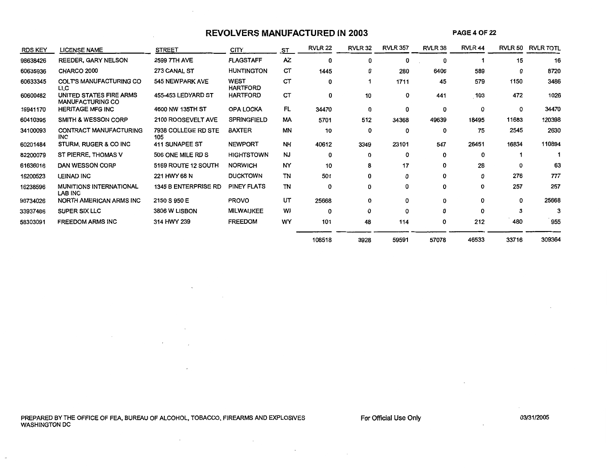# **REVOLVERS MANUFACTURED IN 2003**

 $\sim$ 

 $\ddot{\phantom{1}}$ 

 $\overline{\phantom{a}}$ 

 $\sim$ 

**PAGE40F22** 

| <b>RDS KEY</b> | <b>LICENSE NAME</b>                                | <b>STREET</b>              | CITY.                          | <b>ST</b> | <b>RVLR 22</b> | <b>RVLR 32</b> | <b>RVLR 357</b> | RVLR 38 | RVLR <sub>44</sub> |              | <b>RVLR 50 RVLR TOTL</b> |
|----------------|----------------------------------------------------|----------------------------|--------------------------------|-----------|----------------|----------------|-----------------|---------|--------------------|--------------|--------------------------|
| 98638426       | <b>REEDER, GARY NELSON</b>                         | 2599 7TH AVE               | <b>FLAGSTAFF</b>               | AZ.       | 0              | 0              | 0               | 0       |                    | 15           | 16                       |
| 60635936       | CHARCO 2000                                        | 273 CANAL ST               | <b>HUNTINGTON</b>              | СT        | 1445           | 0              | 280             | 6406    | 589                | 0            | 8720                     |
| 60633345       | <b>COLT'S MANUFACTURING CO</b><br>LLC.             | 545 NEWPARK AVE            | <b>WEST</b><br><b>HARTFORD</b> | CT        | 0              |                | 1711            | 45      | 579                | 1150         | 3486                     |
| 60600482       | UNITED STATES FIRE ARMS<br><b>MANUFACTURING CO</b> | 455-453 LEDYARD ST         | <b>HARTFORD</b>                | <b>CT</b> | 0              | 10             | 0               | 441     | 103                | 472          | 1026                     |
| 15941170       | <b>HERITAGE MFG INC</b>                            | 4600 NW 135TH ST           | <b>OPA LOCKA</b>               | FL        | 34470          | 0              | 0               | 0       | 0                  | 0            | 34470                    |
| 60410395       | <b>SMITH &amp; WESSON CORP</b>                     | 2100 ROOSEVELT AVE         | <b>SPRINGFIELD</b>             | МA        | 5701           | 512            | 34368           | 49639   | 18495              | 11683        | 120398                   |
| 34100093       | <b>CONTRACT MANUFACTURING</b><br><b>INC</b>        | 7938 COLLEGE RD STE<br>105 | <b>BAXTER</b>                  | ΜN        | 10             | 0              | 0               | 0       | 75                 | 2545         | 2630                     |
| 60201484       | STURM, RUGER & CO INC                              | 411 SUNAPEE ST             | <b>NEWPORT</b>                 | <b>NH</b> | 40612          | 3349           | 23101           | 547     | 26451              | 16834        | 110894                   |
| 82200079       | ST PIERRE, THOMAS V                                | 506 ONE MILE RD S          | <b>HIGHTSTOWN</b>              | <b>NJ</b> | 0              | 0              | 0               | 0       | $\Omega$           |              |                          |
| 61636016       | DAN WESSON CORP                                    | 5169 ROUTE 12 SOUTH        | <b>NORWICH</b>                 | NY        | 10             | 8              | 17              | 0       | 28                 | <sup>0</sup> | 63                       |
| 16200523       | <b>LEINAD INC</b>                                  | 221 HWY 68 N               | <b>DUCKTOWN</b>                | TN        | 501            | 0              | 0               | 0       | 0                  | 276          | 777                      |
| 16238596       | <b>MUNITIONS INTERNATIONAL</b><br>LAB INC          | 1345 B ENTERPRISE RD       | PINEY FLATS                    | TN        | 0              | 0              | 0               | 0       | 0                  | 257          | 257                      |
| 98734026       | NORTH AMERICAN ARMS INC                            | 2150 S 950 E               | <b>PROVO</b>                   | UT        | 25668          | 0              | 0               | 0       | 0                  | 0            | 25668                    |
| 33937486       | SUPER SIX LLC                                      | 3806 W LISBON              | <b>MILWAUKEE</b>               | WI        | 0              | 0              | $\Omega$        | 0       | $\Omega$           | 3            | 3                        |
| 58303091       | <b>FREEDOM ARMS INC</b>                            | 314 HWY 239                | <b>FREEDOM</b>                 | WY        | 101            | 48             | 114             | 0       | 212                | 480          | 955                      |
|                |                                                    |                            |                                |           | 108518         | 3928           | 59591           | 57078   | 46533              | 33716        | 309364                   |

PREPARED BY THE OFFICE OF FEA, BUREAU OF ALCOHOL, TOBACCO, FIREARMS AND EXPLOSIVES WASHINGTON DC

 $\mathcal{L}_{\mathcal{A}}$ 

 $\overline{\phantom{a}}$ 

For Official Use Only

03/31/2005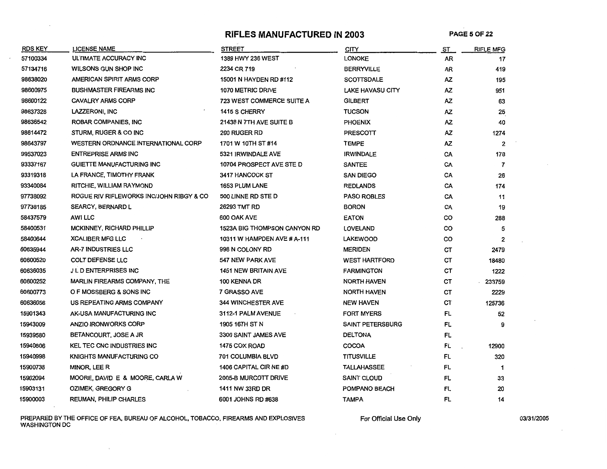### **RIFLES MANUFACTURED IN 2003 PAGE50F22**

| <b>RDS KEY</b> | <b>LICENSE NAME</b>                      | <b>STREET</b>                    | <b>CITY</b>             | ST.       | <b>RIFLE MFG</b>        |
|----------------|------------------------------------------|----------------------------------|-------------------------|-----------|-------------------------|
| 57100334       | ULTIMATE ACCURACY INC                    | 1389 HWY 236 WEST                | <b>LONOKE</b>           | AŔ        | 17                      |
| 57134716       | WILSONS GUN SHOP INC                     | 2234 CR 719                      | <b>BERRYVILLE</b>       | AR        | 419                     |
| 98638020       | AMERICAN SPIRIT ARMS CORP                | 15001 N HAYDEN RD #112           | <b>SCOTTSDALE</b>       | AZ.       | 195                     |
| 98600975       | <b>BUSHMASTER FIREARMS INC</b>           | 1070 METRIC DRIVE                | <b>LAKE HAVASU CITY</b> | ΑZ        | 951                     |
| 98600122       | <b>CAVALRY ARMS CORP</b>                 | <b>723 WEST COMMERCE SUITE A</b> | <b>GILBERT</b>          | ΑZ        | 63                      |
| 98637328       | LAZZERONI, INC                           | 1415 S CHERRY                    | <b>TUCSON</b>           | ΑZ        | 25                      |
| 98636542       | ROBAR COMPANIES, INC                     | 21438 N 7TH AVE SUITE B          | <b>PHOENIX</b>          | AZ        | 40                      |
| 98614472       | STURM, RUGER & CO INC                    | <b>200 RUGER RD</b>              | <b>PRESCOTT</b>         | <b>AZ</b> | 1274                    |
| 98643797       | WESTERN ORDNANCE INTERNATIONAL CORP      | 1701 W 10TH ST #14               | <b>TEMPE</b>            | <b>AZ</b> | $\overline{\mathbf{2}}$ |
| 99537023       | <b>ENTREPRISE ARMS INC</b>               | 5321 IRWINDALE AVE               | <b>IRWINDALE</b>        | CA        | 178                     |
| 93337167       | <b>GUIETTE MANUFACTURING INC</b>         | 10704 PROSPECT AVE STE D         | <b>SANTEE</b>           | CA        | $\overline{7}$          |
| 93319318       | LA FRANCE, TIMOTHY FRANK                 | 3417 HANCOCK ST                  | <b>SAN DIEGO</b>        | CA        | 26                      |
| 93340084       | RITCHIE, WILLIAM RAYMOND                 | 1653 PLUM LANE                   | <b>REDLANDS</b>         | CA        | 174                     |
| 97738092       | ROGUE RIV RIFLEWORKS INC/JOHN RIBGY & CO | 500 LINNE RD STE D               | <b>PASO ROBLES</b>      | CA        | 11                      |
| 97738185       | <b>SEARCY, BERNARD L</b>                 | 26293 TMT RD                     | <b>BORON</b>            | CA        | 19                      |
| 58437579       | AWI LLC                                  | 600 OAK AVE                      | <b>EATON</b>            | CO        | 288                     |
| 58400531       | MCKINNEY, RICHARD PHILLIP                | 1523A BIG THOMPSON CANYON RD     | <b>LOVELAND</b>         | CO        | 5                       |
| 58400644       | <b>XCALIBER MFG LLC</b>                  | 10311 W HAMPDEN AVE # A-111      | <b>LAKEWOOD</b>         | co        | $\overline{2}$          |
| 60635944       | <b>AR-7 INDUSTRIES LLC</b>               | 998 N COLONY RD                  | <b>MERIDEN</b>          | СT        | 2479                    |
| 60600520       | <b>COLT DEFENSE LLC</b>                  | 547 NEW PARK AVE                 | <b>WEST HARTFORD</b>    | СT        | 18480                   |
| 60636035       | <b>J L D ENTERPRISES INC</b>             | <b>1451 NEW BRITAIN AVE</b>      | <b>FARMINGTON</b>       | CТ        | 1222                    |
| 60600252       | MARLIN FIREARMS COMPANY, THE             | 100 KENNA DR                     | <b>NORTH HAVEN</b>      | CТ        | 233759                  |
| 60600773       | O F MOSSBERG & SONS INC                  | 7 GRASSO AVE                     | <b>NORTH HAVEN</b>      | CT        | 2229                    |
| 60636056       | US REPEATING ARMS COMPANY                | <b>344 WINCHESTER AVE</b>        | <b>NEW HAVEN</b>        | CТ        | 125736                  |
| 15901343       | AK-USA MANUFACTURING INC                 | 3112-1 PALM AVENUE               | <b>FORT MYERS</b>       | FL.       | 52                      |
| 15943009       | <b>ANZIO IRONWORKS CORP</b>              | 1905 16TH ST N                   | <b>SAINT PETERSBURG</b> | FL        | 9                       |
| 15939580       | BETANCOURT, JOSE A JR                    | 3300 SAINT JAMES AVE             | <b>DELTONA</b>          | FL        |                         |
| 15940806       | <b>KEL TEC CNC INDUSTRIES INC</b>        | 1475 COX ROAD                    | <b>COCOA</b>            | FL        | 12900                   |
| 15940998       | KNIGHTS MANUFACTURING CO                 | 701 COLUMBIA BLVD                | <b>TITUSVILLE</b>       | FL        | 320                     |
| 15900738       | MINOR, LEE R                             | 1406 CAPITAL CIR NE #D           | <b>TALLAHASSEE</b>      | FL.       | -1                      |
| 15902094       | MOORE, DAVID E & MOORE, CARLA W          | 2005-B MURCOTT DRIVE             | <b>SAINT CLOUD</b>      | FL        | 33                      |
| 15903131       | OZIMEK, GREGORY G                        | 1411 NW 33RD DR                  | POMPANO BEACH           | FL        | 20                      |
| 15900003       | <b>REUMAN, PHILIP CHARLES</b>            | 6001 JOHNS RD #638               | <b>TAMPA</b>            | FL        | 14                      |

PREPARED BY THE OFFICE OF FEA, BUREAU OF ALCOHOL, TOBACCO, FIREARMS AND EXPLOSIVES WASHINGTON DC

For Official Use Only 03/31/2005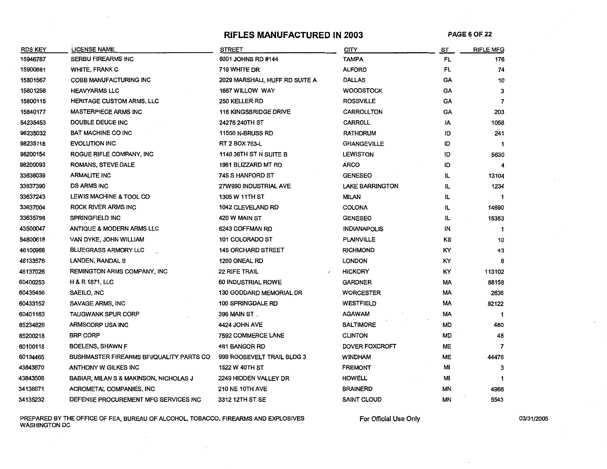#### RIFLES MANUFACTURED IN 2003 PAGE 6 OF 22

| <b>RDS KEY</b> | LICENSE NAME                             | <b>STREET</b>                 | CITY                   | ST        | <b>RIFLE MFG</b> |
|----------------|------------------------------------------|-------------------------------|------------------------|-----------|------------------|
| 15946787       | <b>SERBU FIREARMS INC</b>                | 6001 JOHNS RD #144            | <b>TAMPA</b>           | <b>FL</b> | 176              |
| 15900881       | <b>WHITE, FRANK C</b>                    | 719 WHITE DR                  | <b>ALFORD</b>          | <b>FL</b> | 74               |
| 15801567       | <b>COBB MANUFACTURING INC</b>            | 2029 MARSHALL HUFF RD SUITE A | <b>DALLAS</b>          | GA        | 10               |
| 15801258       | <b>HEAVYARMS LLC</b>                     | 1667 WILLOW WAY               | <b>WOODSTOCK</b>       | GA        | 3                |
| 15800115       | <b>HERITAGE CUSTOM ARMS, LLC</b>         | 250 KELLER RD                 | <b>ROSSVILLE</b>       | GA        | 7                |
| 15840177       | <b>MASTERPIECE ARMS INC</b>              | <b>116 KINGSBRIDGE DRIVE</b>  | <b>CARROLLTON</b>      | GA        | 203              |
| 54235453       | DOUBLE DEUCE INC                         | 24276 240TH ST                | <b>CARROLL</b>         | IA        | 1058             |
| 98235032       | <b>BAT MACHINE CO INC</b>                | <b>11550 N-BRUSS RD</b>       | <b>RATHDRUM</b>        | ID        | 241              |
| 98235118       | <b>EVOLUTION INC</b>                     | RT 2 BOX 763-L                | <b>GRANGEVILLE</b>     | ID        | 1                |
| 98200154       | ROGUE RIFLE COMPANY, INC                 | 1140 36TH ST N SUITE B        | <b>LEWISTON</b>        | ID        | 5630             |
| 98200093       | ROMANS, STEVE DALE                       | 1981 BLIZZARD MT RD           | <b>ARCO</b>            | ID        | 4                |
| 33636039       | <b>ARMALITE INC</b>                      | 745 S HANFORD ST              | <b>GENESEO</b>         | IL        | 13104            |
| 33637390       | <b>DS ARMS INC</b>                       | 27W990 INDUSTRIAL AVE         | <b>LAKE BARRINGTON</b> | IL        | 1234             |
| 33637243       | LEWIS MACHINE & TOOL CO                  | <b>1305 W 11TH ST</b>         | <b>MILAN</b>           | IL        |                  |
| 33637004       | ROCK RIVER ARMS INC                      | 1042 CLEVELAND RD             | <b>COLONA</b>          | IL        | 14690            |
| 33635798       | SPRINGFIELD INC                          | 420 W MAIN ST                 | <b>GENESEO</b>         | IL        | 15353            |
| 43500047       | ANTIQUE & MODERN ARMS LLC                | 6243 COFFMAN RD               | <b>INDIANAPOLIS</b>    | IN        | 1                |
| 54800618       | VAN DYKE, JOHN WILLIAM                   | 101 COLORADO ST               | <b>PLAINVILLE</b>      | ΚS        | 10               |
| 46100968       | <b>BLUEGRASS ARMORY LLC</b>              | <b>145 ORCHARD STREET</b>     | <b>RICHMOND</b>        | KY        | 43               |
| 46133576       | LANDEN, RANDAL S                         | 1200 ONEAL RD                 | <b>LONDON</b>          | ΚY        | 8                |
| 46137026       | REMINGTON ARMS COMPANY, INC              | <b>22 RIFE TRAIL</b><br>J     | <b>HICKORY</b>         | KY        | 113102           |
| 60400253       | <b>H &amp; R 1871, LLC</b>               | 60 INDUSTRIAL ROWE            | <b>GARDNER</b>         | МA        | 88158            |
| 60435456       | SAEILO, INC                              | 130 GODDARD MEMORIAL DR       | <b>WORCESTER</b>       | MA        | 2636             |
| 60433152       | SAVAGE ARMS, INC                         | 100 SPRINGDALE RD             | <b>WESTFIELD</b>       | МA        | 92122            |
| 60401163       | <b>TAUGWANK SPUR CORP</b>                | 396 MAIN ST.                  | <b>AGAWAM</b>          | МA        | 1                |
| 85234826       | ARMSCORP USA INC                         | 4424 JOHN AVE                 | <b>BALTIMORE</b>       | MD        | 480              |
| 85200218       | <b>BRP CORP</b>                          | 7592 COMMERCE LANE            | <b>CLINTON</b>         | MD        | 48               |
| 60100118       | <b>BOELENS, SHAWN F</b>                  | 481 BANGOR RD                 | DOVER FOXCROFT         | <b>ME</b> | $\overline{7}$   |
| 60134465       | BUSHMASTER FIREARMS BFI/QUALITY PARTS CO | 999 ROOSEVELT TRAIL BLDG 3    | WINDHAM                | ME        | 44476            |
| 43843870       | ANTHONY W GILKES INC                     | 1522 W 40TH ST                | <b>FREMONT</b>         | MI        | 3                |
| 43843508       | BABIAR, MILAN S & MAKINSON, NICHOLAS J   | 2249 HIDDEN VALLEY DR         | <b>HOWELL</b>          | MI        | 1                |
| 34136671       | ACROMETAL COMPANIES, INC                 | <b>210 NE 10TH AVE</b>        | <b>BRAINERD</b>        | ΜN        | 4966             |
| 34135232       | DEFENSE PROCUREMENT MFG SERVICES INC     | 3312 12TH ST SE               | <b>SAINT CLOUD</b>     | ΜN        | 5543             |

PREPARED BY THE OFFICE OF FEA, BUREAU OF ALCOHOL, TOBACCO, FIREARMS AND EXPLOSIVES 03/31/2005<br>WASHINGTON DC

 $\sim$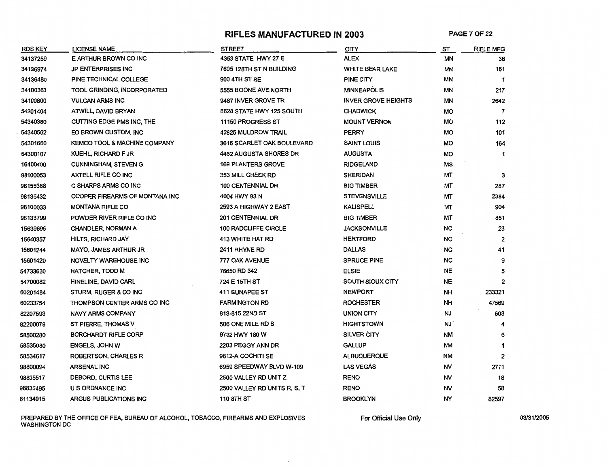# **RIFLES MANUFACTURED IN 2003 PAGE 7 OF 22**

| <b>RDS KEY</b> | LICENSE NAME                            | <b>STREET</b>                | <b>CITY</b>                | <u>ST</u> | <b>RIFLE MFG</b> |
|----------------|-----------------------------------------|------------------------------|----------------------------|-----------|------------------|
| 34137259       | E ARTHUR BROWN CO INC                   | 4353 STATE HWY 27 E          | <b>ALEX</b>                | ΜN        | 36               |
| 34136974       | <b>JP ENTERPRISES INC</b>               | 7605 128TH ST N BUILDING     | <b>WHITE BEAR LAKE</b>     | ΜN        | 161              |
| 34136480       | PINE TECHNICAL COLLEGE                  | 900 4TH ST SE                | PINE CITY                  | MN        | $\mathbf 1$      |
| 34100363       | TOOL GRINDING, INCORPORATED             | 5555 BOONE AVE NORTH         | <b>MINNEAPOLIS</b>         | ΜN        | 217              |
| 34100800       | <b>VULCAN ARMS INC</b>                  | 9487 INVER GROVE TR          | <b>INVER GROVE HEIGHTS</b> | ΜN        | 2642             |
| 54301404       | ATWILL, DAVID BRYAN                     | 8628 STATE HWY 125 SOUTH     | <b>CHADWICK</b>            | MO        | $\overline{7}$   |
| 54340380       | CUTTING EDGE PMS INC, THE               | 11150 PROGRESS ST            | <b>MOUNT VERNON</b>        | <b>MO</b> | 112              |
| 54340562       | ED BROWN CUSTOM, INC                    | 43825 MULDROW TRAIL          | <b>PERRY</b>               | MO        | 101              |
| 54301660       | <b>KEMCO TOOL &amp; MACHINE COMPANY</b> | 3616 SCARLET OAK BOULEVARD   | <b>SAINT LOUIS</b>         | MO        | 164              |
| 54300107       | KUEHL, RICHARD F JR                     | 4452 AUGUSTA SHORES DR       | <b>AUGUSTA</b>             | MO        | 1                |
| 16400400       | <b>CUNNINGHAM, STEVEN G</b>             | <b>169 PLANTERS GROVE</b>    | <b>RIDGELAND</b>           | MS        |                  |
| 98100053       | AXTELL RIFLE CO INC                     | 353 MILL CREEK RD            | <b>SHERIDAN</b>            | МT        | 3                |
| 98155388       | C SHARPS ARMS CO INC                    | <b>100 CENTENNIAL DR</b>     | <b>BIG TIMBER</b>          | МT        | 287              |
| 98135432       | COOPER FIREARMS OF MONTANA INC          | 4004 HWY 93 N                | <b>STEVENSVILLE</b>        | МT        | 2384             |
| 98100033       | <b>MONTANA RIFLE CO</b>                 | 2593 A HIGHWAY 2 EAST        | <b>KALISPELL</b>           | МT        | 904              |
| 98133799       | POWDER RIVER RIFLE CO INC               | 201 CENTENNIAL DR            | <b>BIG TIMBER</b>          | МΤ        | 851              |
| 15639696       | <b>CHANDLER, NORMAN A</b>               | 100 RADCLIFFE CIRCLE         | <b>JACKSONVILLE</b>        | NC        | 23               |
| 15640357       | <b>HILTS, RICHARD JAY</b>               | 413 WHITE HAT RD             | <b>HERTFORD</b>            | NC.       | $\mathbf{2}$     |
| 15601244       | <b>MAYO, JAMES ARTHUR JR</b>            | 2411 RHYNE RD                | <b>DALLAS</b>              | NC        | 41               |
| 15601420       | NOVELTY WAREHOUSE INC                   | 777 OAK AVENUE               | SPRUCE PINE                | <b>NC</b> | 9                |
| 54733630       | <b>HATCHER, TODD M</b>                  | 76650 RD 342                 | <b>ELSIE</b>               | <b>NE</b> | 5                |
| 54700082       | HINELINE, DAVID CARL                    | 724 E 15TH ST                | SOUTH SIOUX CITY           | <b>NE</b> | $\mathbf{2}$     |
| 60201484       | STURM, RUGER & CO INC                   | 411 SUNAPEE ST               | <b>NEWPORT</b>             | NH        | 233321           |
| 60233754       | THOMPSON CENTER ARMS CO INC             | <b>FARMINGTON RD</b>         | <b>ROCHESTER</b>           | <b>NH</b> | 47569            |
| 82207593       | <b>NAVY ARMS COMPANY</b>                | 813-815 22ND ST              | UNION CITY                 | <b>NJ</b> | 603              |
| 82200079       | ST PIERRE, THOMAS V                     | 506 ONE MILE RD S            | <b>HIGHTSTOWN</b>          | NJ        |                  |
| 58500280       | <b>BORCHARDT RIFLE CORP</b>             | 9732 HWY 180 W               | SILVER CITY                | <b>NM</b> | 6                |
| 58535080       | <b>ENGELS, JOHN W</b>                   | 2203 PEGGY ANN DR            | <b>GALLUP</b>              | <b>NM</b> | 1                |
| 58534617       | ROBERTSON, CHARLES R                    | 9812-A COCHITI SE            | ALBUQUERQUE                | ΝM        | $\mathbf{2}$     |
| 98800094       | <b>ARSENAL INC</b>                      | 6959 SPEEDWAY BLVD W-109     | <b>LAS VEGAS</b>           | NV        | 2711             |
| 98835517       | DEBORD, CURTIS LEE                      | 2500 VALLEY RD UNIT Z        | <b>RENO</b>                | NV        | 18               |
| 98835495       | U S ORDNANCE INC                        | 2500 VALLEY RD UNITS R, S, T | <b>RENO</b>                | NV        | 58               |
| 61134915       | ARGUS PUBLICATIONS INC                  | <b>110 8TH ST</b>            | <b>BROOKLYN</b>            | <b>NY</b> | 82597            |

PREPARED BY THE OFFICE OF FEA, BUREAU OF ALCOHOL, TOBACCO, FIREARMS AND EXPLOSIVES For Official Use Only only the control of the control of the control of the control of the control of the control of the control of the con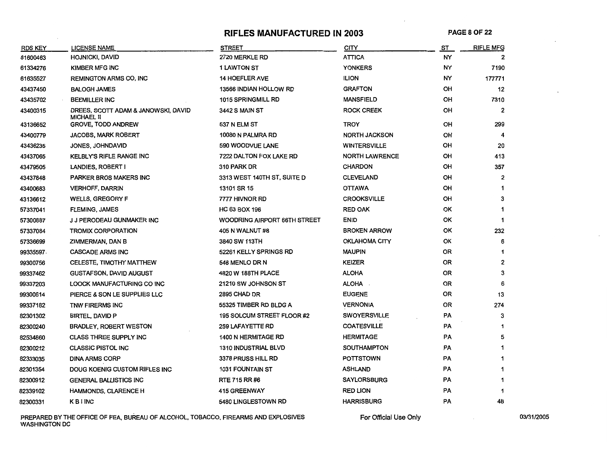# **RIFLES MANUFACTURED IN 2003 PAGESOF22**

| RDS KEY   | <b>LICENSE NAME</b>                                      | <b>STREET</b>                | <b>CITY</b>           | ST        | <b>RIFLE MFG</b> |
|-----------|----------------------------------------------------------|------------------------------|-----------------------|-----------|------------------|
| 61600463  | <b>HOJNICKI, DAVID</b>                                   | 2720 MERKLE RD               | <b>ATTICA</b>         | NY        | 2                |
| 61334276  | KIMBER MFG INC                                           | <b>1 LAWTON ST</b>           | <b>YONKERS</b>        | NY        | 7190             |
| 61635527  | <b>REMINGTON ARMS CO, INC</b>                            | <b>14 HOEFLER AVE</b>        | <b>ILION</b>          | NY        | 177771           |
| 43437450  | <b>BALOGH JAMES</b>                                      | 13566 INDIAN HOLLOW RD       | <b>GRAFTON</b>        | OH        | 12               |
| 43435702  | <b>BEEMILLER INC</b>                                     | 1015 SPRINGMILL RD           | <b>MANSFIELD</b>      | OH        | 7310             |
| 43400315  | DREES, SCOTT ADAM & JANOWSKI, DAVID<br><b>MICHAEL II</b> | 3442 S MAIN ST               | <b>ROCK CREEK</b>     | OH        | 2                |
| 43136652  | <b>GROVE, TODD ANDREW</b>                                | 537 N ELM ST                 | <b>TROY</b>           | OH        | 299              |
| 43400779  | <b>JACOBS, MARK ROBERT</b>                               | 10080 N PALMRA RD            | <b>NORTH JACKSON</b>  | OH        | 4                |
| 43436235  | JONES, JOHNDAVID                                         | 590 WOODVUE LANE             | <b>WINTERSVILLE</b>   | OH        | 20               |
| 43437065  | <b>KELBLY'S RIFLE RANGE INC</b>                          | 7222 DALTON FOX LAKE RD      | <b>NORTH LAWRENCE</b> | OH        | 413              |
| 43479505  | LANDIES, ROBERT I                                        | 310 PARK DR                  | <b>CHARDON</b>        | OH        | 357              |
| 43437848  | <b>PARKER BROS MAKERS INC</b>                            | 3313 WEST 140TH ST, SUITE D  | <b>CLEVELAND</b>      | OH        | 2                |
| 43400683  | <b>VERHOFF, DARRIN</b>                                   | 13101 SR 15                  | <b>OTTAWA</b>         | OH        | 1                |
| 43136612  | <b>WELLS, GREGORY F</b>                                  | 7777 HIVNOR RD               | <b>CROOKSVILLE</b>    | OH        | 3                |
| 57337041  | <b>FLEMING, JAMES</b>                                    | <b>HC 63 BOX 196</b>         | <b>RED OAK</b>        | OK        |                  |
| 57300887  | J J PERODEAU GUNMAKER INC                                | WOODRING AIRPORT 66TH STREET | <b>ENID</b>           | OK        | 1                |
| 57337084  | TROMIX CORPORATION                                       | 405 N WALNUT #8              | <b>BROKEN ARROW</b>   | ОΚ        | 232              |
| 57336699  | ZIMMERMAN, DAN B                                         | 3840 SW 113TH                | <b>OKLAHOMA CITY</b>  | ОК        | 6                |
| 99335597. | <b>CASCADE ARMS INC</b>                                  | 52261 KELLY SPRINGS RD       | <b>MAUPIN</b>         | OR        |                  |
| 99300756  | CELESTE, TIMOTHY MATTHEW                                 | 548 MENLO DR N               | <b>KEIZER</b>         | OR        | $\overline{2}$   |
| 99337462  | <b>GUSTAFSON, DAVID AUGUST</b>                           | 4820 W 188TH PLACE           | <b>ALOHA</b>          | 0R        | 3                |
| 99337203  | LOOCK MANUFACTURING CO INC                               | 21210 SW JOHNSON ST          | ALOHA                 | 0R        | 6                |
| 99300614  | PIERCE & SON LE SUPPLIES LLC                             | 2895 CHAD DR                 | <b>EUGENE</b>         | <b>OR</b> | 13               |
| 99337182  | TNW FIRERMS INC                                          | 55325 TIMBER RD BLDG A       | <b>VERNONIA</b>       | OR        | 274              |
| 82301302  | <b>BIRTEL, DAVID P</b>                                   | 195 SOLCUM STREET FLOOR #2   | <b>SWOYERSVILLE</b>   | PA        | 3                |
| 82300240  | <b>BRADLEY, ROBERT WESTON</b>                            | 259 LAFAYETTE RD             | <b>COATESVILLE</b>    | PA        |                  |
| 82534860  | <b>CLASS THREE SUPPLY INC</b>                            | 1400 N HERMITAGE RD          | <b>HERMITAGE</b>      | PA        | 5                |
| 82300212  | <b>CLASSIC PISTOL INC</b>                                | <b>1310 INDUSTRIAL BLVD</b>  | <b>SOUTHAMPTON</b>    | PA        |                  |
| 82333035  | <b>DINA ARMS CORP</b>                                    | 3378 PRUSS HILL RD           | <b>POTTSTOWN</b>      | PA        |                  |
| 82301354  | DOUG KOENIG CUSTOM RIFLES INC                            | <b>1031 FOUNTAIN ST</b>      | <b>ASHLAND</b>        | PA        |                  |
| 82300912  | <b>GENERAL BALLISTICS INC</b>                            | RTE 715 RR #6                | <b>SAYLORSBURG</b>    | <b>PA</b> | 1                |
| 82339102  | HAMMONDS, CLARENCE H                                     | <b>415 GREENWAY</b>          | <b>RED LION</b>       | PA        | 1                |
| 82300331  | <b>KBINC</b>                                             | 5480 LINGLESTOWN RD          | <b>HARRISBURG</b>     | PA        | 48               |

PREPARED BY THE OFFICE OF FEA, BUREAU OF ALCOHOL, TOBACCO, FIREARMS AND EXPLOSIVES For Official Use Only the computation of the control of the control of the control of the control of the control of the control of the cont WASHINGTON DC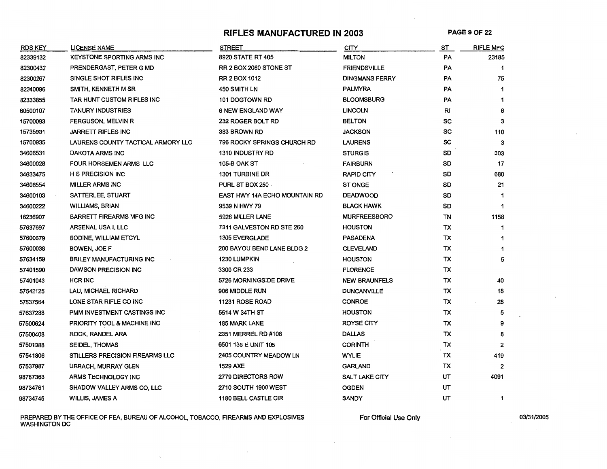# RIFLES MANUFACTURED IN 2003 PAGE 9 OF 22

| <b>RDS KEY</b> | LICENSE NAME                       | <b>STREET</b>                 | <b>CITY</b>           | ST        | <b>RIFLE MFG</b> |
|----------------|------------------------------------|-------------------------------|-----------------------|-----------|------------------|
| 82339132       | <b>KEYSTONE SPORTING ARMS INC</b>  | 8920 STATE RT 405             | <b>MILTON</b>         | PA        | 23185            |
| 82300432       | PRENDERGAST, PETER G MD            | <b>RR 2 BOX 2060 STONE ST</b> | <b>FRIENDSVILLE</b>   | PA        | $\mathbf 1$      |
| 82300267       | SINGLE SHOT RIFLES INC             | <b>RR 2 BOX 1012</b>          | <b>DINGMANS FERRY</b> | PA        | 75               |
| 82340096       | SMITH, KENNETH M SR                | 450 SMITH LN                  | <b>PALMYRA</b>        | PA        | $\mathbf{1}$     |
| 82333855       | TAR HUNT CUSTOM RIFLES INC         | 101 DOGTOWN RD                | BLOOMSBURG            | PA        | 1                |
| 60500107       | TANURY INDUSTRIES                  | <b>6 NEW ENGLAND WAY</b>      | <b>LINCOLN</b>        | RI        | 6                |
| 15700093       | <b>FERGUSON, MELVIN R</b>          | 232 ROGER BOLT RD             | <b>BELTON</b>         | sc        | 3                |
| 15735931       | <b>JARRETT RIFLES INC</b>          | 383 BROWN RD                  | JACKSON               | SC        | 110              |
| 15700935       | LAURENS COUNTY TACTICAL ARMORY LLC | 796 ROCKY SPRINGS CHURCH RD   | <b>LAURENS</b>        | SC        | 3                |
| 34606531       | DAKOTA ARMS INC                    | <b>1310 INDUSTRY RD</b>       | <b>STURGIS</b>        | SD        | 303              |
| 34600028       | FOUR HORSEMEN ARMS LLC             | <b>105-B OAK ST</b>           | <b>FAIRBURN</b>       | SD        | 17               |
| 34633475       | <b>H S PRECISION INC</b>           | <b>1301 TURBINE DR</b>        | <b>RAPID CITY</b>     | SD        | 680              |
| 34606554       | <b>MILLER ARMS INC</b>             | PURL ST BOX 260               | <b>ST ONGE</b>        | SD        | 21               |
| 34600103       | SATTERLEE, STUART                  | EAST HWY 14A ECHO MOUNTAIN RD | <b>DEADWOOD</b>       | SD        | 1                |
| 34600222       | <b>WILLIAMS, BRIAN</b>             | 9539 N HWY 79                 | <b>BLACK HAWK</b>     | SD        | 1                |
| 16236907       | <b>BARRETT FIREARMS MFG INC</b>    | 5926 MILLER LANE              | <b>MURFREESBORO</b>   | TN        | 1158             |
| 57637697       | ARSENAL USA I, LLC                 | 7311 GALVESTON RD STE 260     | <b>HOUSTON</b>        | TX        | $\mathbf 1$      |
| 57600679       | <b>BODINE, WILLIAM ETCYL</b>       | <b>1305 EVERGLADE</b>         | <b>PASADENA</b>       | TX        | 1                |
| 57600038       | BOWEN, JOE F                       | 200 BAYOU BEND LANE BLDG 2    | <b>CLEVELAND</b>      | TX        | 1                |
| 57634159       | <b>BRILEY MANUFACTURING INC</b>    | 1230 LUMPKIN                  | <b>HOUSTON</b>        | TX        | 5                |
| 57401590       | DAWSON PRECISION INC               | 3300 CR 233                   | <b>FLORENCE</b>       | TX        |                  |
| 57401043       | <b>HCR INC</b>                     | 5726 MORNINGSIDE DRIVE        | <b>NEW BRAUNFELS</b>  | TX        | 40               |
| 57542125       | LAU, MICHAEL RICHARD               | 906 MIDDLE RUN                | <b>DUNCANVILLE</b>    | ТX        | 18               |
| 57637564       | LONE STAR RIFLE CO INC             | 11231 ROSE ROAD               | <b>CONROE</b>         | TX        | 28               |
| 57637288       | <b>PMM INVESTMENT CASTINGS INC</b> | 5514 W 34TH ST                | <b>HOUSTON</b>        | ТX        | 5                |
| 57500624       | PRIORITY TOOL & MACHINE INC        | <b>185 MARK LANE</b>          | <b>ROYSE CITY</b>     | TX        | 9                |
| 57500408       | ROCK, RANDEL ARA                   | 2351 MERREL RD #108           | <b>DALLAS</b>         | <b>TX</b> | 8                |
| 57501388       | <b>SEIDEL, THOMAS</b>              | 6501 135 E UNIT 105           | <b>CORINTH</b>        | TX        | $\overline{2}$   |
| 57541806       | STILLERS PRECISION FIREARMS LLC    | 2405 COUNTRY MEADOW LN        | <b>WYLIE</b>          | ТX        | 419              |
| 57537987       | URBACH, MURRAY GLEN                | 1529 AXE                      | GARLAND               | ТX        | 2                |
| 98787363       | <b>ARMS TECHNOLOGY INC</b>         | 2779 DIRECTORS ROW            | <b>SALT LAKE CITY</b> | UT        | 4091             |
| 98734761       | SHADOW VALLEY ARMS CO, LLC         | 2710 SOUTH 1900 WEST          | OGDEN                 | UT        |                  |
| 98734745       | <b>WILLIS, JAMES A</b>             | <b>1180 BELL CASTLE CIR</b>   | <b>SANDY</b>          | UT        | 1                |

PREPARED BY THE OFFICE OF FEA, BUREAU OF ALCOHOL, TOBACCO, FIREARMS AND EXPLOSIVES FOR OFficial Use Only only the control of the control of the control of the control of the control of the control of the control of the con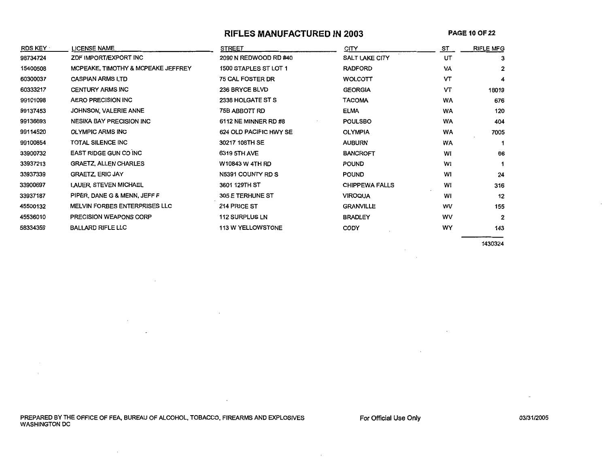### **RIFLES MANUFACTURED IN 2003**

| RDS KEY  | <b>LICENSE NAME</b>                | <b>STREET</b>            | <b>CITY</b>           | ST        | <b>RIFLE MFG</b> |
|----------|------------------------------------|--------------------------|-----------------------|-----------|------------------|
| 98734724 | ZDF IMPORT/EXPORT INC              | 2090 N REDWOOD RD #40    | <b>SALT LAKE CITY</b> | UT        | 3                |
| 15400508 | MCPEAKE, TIMOTHY & MCPEAKE JEFFREY | 1500 STAPLES ST LOT 1    | <b>RADFORD</b>        | VA        | $\mathbf{2}$     |
| 60300037 | <b>CASPIAN ARMS LTD</b>            | <b>75 CAL FOSTER DR</b>  | WOLCOTT               | VТ        | 4                |
| 60333217 | <b>CENTURY ARMS INC</b>            | 236 BRYCE BLVD           | <b>GEORGIA</b>        | vт        | 18019            |
| 99101098 | <b>AERO PRECISION INC</b>          | 2338 HOLGATE ST S        | <b>TACOMA</b>         | <b>WA</b> | 676              |
| 99137453 | JOHNSON, VALERIE ANNE              | 75B ABBOTT RD            | <b>ELMA</b>           | <b>WA</b> | 120              |
| 99136693 | <b>NESIKA BAY PRECISION INC</b>    | 6112 NE MINNER RD #8     | <b>POULSBO</b>        | <b>WA</b> | 404              |
| 99114520 | <b>OLYMPIC ARMS INC</b>            | 624 OLD PACIFIC HWY SE   | <b>OLYMPIA</b>        | WA        | 7005             |
| 99100854 | TOTAL SILENCE INC                  | 30217 108TH SE           | <b>AUBURN</b>         | WA        |                  |
| 33900732 | <b>EAST RIDGE GUN CO INC</b>       | 6319 5TH AVE             | <b>BANCROFT</b>       | WI        | 66               |
| 33937213 | <b>GRAETZ, ALLEN CHARLES</b>       | W10843 W 4TH RD          | <b>POUND</b>          | WI        |                  |
| 33937339 | <b>GRAETZ, ERIC JAY</b>            | N5391 COUNTY RD S        | <b>POUND</b>          | W1        | 24               |
| 33900697 | LAUER, STEVEN MICHAEL              | 3601 129TH ST            | <b>CHIPPEWA FALLS</b> | WI        | 316              |
| 33937187 | PIPER, DANE G & MENN, JEFF F       | 305 E TERHUNE ST         | <b>VIROQUA</b>        | WI        | 12               |
| 45500132 | MELVIN FORBES ENTERPRISES LLC      | 214 PRICE ST             | <b>GRANVILLE</b>      | wv        | 155              |
| 45536010 | PRECISION WEAPONS CORP             | <b>112 SURPLUS LN</b>    | <b>BRADLEY</b>        | wv        | $\overline{2}$   |
| 58334359 | <b>BALLARD RIFLE LLC</b>           | <b>113 W YELLOWSTONE</b> | <b>CODY</b>           | WY        | 143              |

1430324

PREPARED BY THE OFFICE OF FEA, BUREAU OF ALCOHOL, TOBACCO, FIREARMS AND EXPLOSIVES WASHINGTON DC

 $\lambda$ 

 $\overline{\phantom{a}}$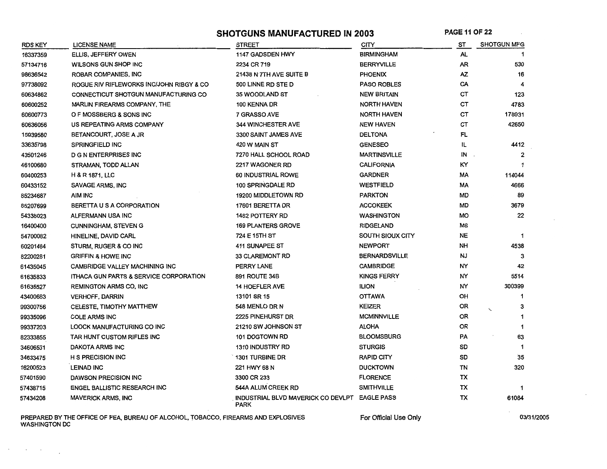SHOTGUNS MANUFACTURED IN 2003 PAGE 11 OF 22

| RDS KEY  | <b>LICENSE NAME</b>                               | <b>STREET</b>                                                | <b>CITY</b>          | ST        | <b>SHOTGUN MFG</b>  |
|----------|---------------------------------------------------|--------------------------------------------------------------|----------------------|-----------|---------------------|
| 16337359 | ELLIS, JEFFERY OWEN                               | 1147 GADSDEN HWY                                             | BIRMINGHAM           | AL        |                     |
| 57134716 | WILSONS GUN SHOP INC                              | 2234 CR 719                                                  | <b>BERRYVILLE</b>    | AR        | 530                 |
| 98636542 | ROBAR COMPANIES, INC                              | 21438 N 7TH AVE SUITE B                                      | <b>PHOENIX</b>       | AZ.       | 16                  |
| 97738092 | ROGUE RIV RIFLEWORKS INC/JOHN RIBGY & CO          | 500 LINNE RD STE D                                           | <b>PASO ROBLES</b>   | CA        |                     |
| 60634862 | CONNECTICUT SHOTGUN MANUFACTURING CO              | 35 WOODLAND ST                                               | <b>NEW BRITAIN</b>   | CТ        | 123                 |
| 60600252 | MARLIN FIREARMS COMPANY, THE                      | 100 KENNA DR                                                 | <b>NORTH HAVEN</b>   | CТ        | 4783                |
| 60600773 | O F MOSSBERG & SONS INC                           | 7 GRASSO AVE                                                 | <b>NORTH HAVEN</b>   | CТ        | 178931              |
| 60636056 | US REPEATING ARMS COMPANY                         | 344 WINCHESTER AVE                                           | <b>NEW HAVEN</b>     | CТ        | 42650               |
| 15939580 | BETANCOURT, JOSE A JR                             | 3300 SAINT JAMES AVE                                         | <b>DELTONA</b>       | FL        |                     |
| 33635798 | <b>SPRINGFIELD INC</b>                            | 420 W MAIN ST                                                | <b>GENESEO</b>       | IL        | 4412                |
| 43501246 | <b>D G N ENTERPRISES INC</b>                      | 7270 HALL SCHOOL ROAD                                        | <b>MARTINSVILLE</b>  | IN        |                     |
| 46100680 | STRAMAN, TODD ALLAN                               | 2217 WAGONER RD                                              | <b>CALIFORNIA</b>    | КY        |                     |
| 60400253 | <b>H &amp; R 1871, LLC</b>                        | 60 INDUSTRIAL ROWE                                           | <b>GARDNER</b>       | MA        | 114044              |
| 60433152 | SAVAGE ARMS, INC                                  | 100 SPRINGDALE RD                                            | <b>WESTFIELD</b>     | МA        | 4666                |
| 85234687 | AIM INC                                           | 19200 MIDDLETOWN RD                                          | <b>PARKTON</b>       | MD        | 89                  |
| 85207699 | BERETTA U S A CORPORATION                         | 17601 BERETTA DR                                             | <b>ACCOKEEK</b>      | <b>MD</b> | 3679                |
| 54338023 | <b>ALFERMANN USA INC</b>                          | 1482 POTTERY RD                                              | <b>WASHINGTON</b>    | MO        | 22                  |
| 16400400 | <b>CUNNINGHAM, STEVEN G</b>                       | <b>169 PLANTERS GROVE</b>                                    | <b>RIDGELAND</b>     | ΜS        |                     |
| 54700082 | HINELINE, DAVID CARL                              | 724 E 15TH ST                                                | SOUTH SIOUX CITY     | <b>NE</b> | 1                   |
| 60201484 | STURM, RUGER & CO INC                             | 411 SUNAPEE ST                                               | <b>NEWPORT</b>       | NH        | 4538                |
| 82200281 | <b>GRIFFIN &amp; HOWE INC</b>                     | 33 CLAREMONT RD                                              | <b>BERNARDSVILLE</b> | <b>NJ</b> | 3                   |
| 61435045 | <b>CAMBRIDGE VALLEY MACHINING INC</b>             | PERRY LANE                                                   | <b>CAMBRIDGE</b>     | NY        | 42                  |
| 61635833 | <b>ITHACA GUN PARTS &amp; SERVICE CORPORATION</b> | 891 ROUTE 34B                                                | <b>KINGS FERRY</b>   | NY        | 5514                |
| 61635527 | <b>REMINGTON ARMS CO. INC</b>                     | <b>14 HOEFLER AVE</b>                                        | <b>ILION</b>         | NY        | 300399              |
| 43400683 | <b>VERHOFF, DARRIN</b>                            | 13101 SR 15                                                  | <b>OTTAWA</b>        | OH        | -1                  |
| 99300756 | CELESTE, TIMOTHY MATTHEW                          | 548 MENLO DR N                                               | <b>KEIZER</b>        | <b>OR</b> | 3<br>$\overline{a}$ |
| 99335096 | <b>COLE ARMS INC</b>                              | 2225 PINEHURST DR                                            | <b>MCMINNVILLE</b>   | OR        |                     |
| 99337203 | LOOCK MANUFACTURING CO INC                        | 21210 SW JOHNSON ST                                          | <b>ALOHA</b>         | <b>OR</b> |                     |
| 82333855 | TAR HUNT CUSTOM RIFLES INC                        | 101 DOGTOWN RD                                               | <b>BLOOMSBURG</b>    | PA        | 63                  |
| 34606531 | DAKOTA ARMS INC                                   | <b>1310 INDUSTRY RD</b>                                      | <b>STURGIS</b>       | SD        |                     |
| 34633475 | <b>H S PRECISION INC</b>                          | 1301 TURBINE DR                                              | <b>RAPID CITY</b>    | SD        | 35                  |
| 16200523 | <b>LEINAD INC</b>                                 | 221 HWY 68 N                                                 | <b>DUCKTOWN</b>      | TN        | 320                 |
| 57401590 | DAWSON PRECISION INC                              | 3300 CR 233                                                  | <b>FLORENCE</b>      | тх        |                     |
| 57438715 | ENGEL BALLISTIC RESEARCH INC                      | 544A ALUM CREEK RD                                           | <b>SMITHVILLE</b>    | тх        |                     |
| 57434208 | <b>MAVERICK ARMS, INC</b>                         | INDUSTRIAL BLVD MAVERICK CO DEVLPT EAGLE PASS<br><b>PARK</b> |                      | TX        | 61084               |

PREPARED BY THE OFFICE OF FEA, BUREAU OF ALCOHOL, TOBACCO, FIREARMS AND EXPLOSIVES For Official Use Only the only the control of the control of the control of the control of the control of the control of the control of the WASHINGTON DC

 $\sim 10^{-1}$  $\sim$   $\sim$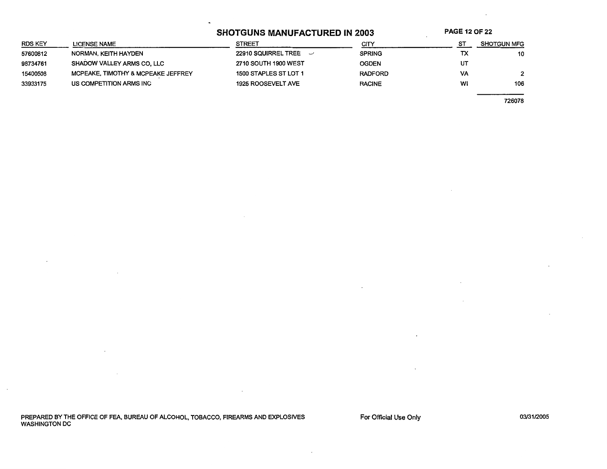# SHOTGUNS MANUFACTURED IN 2003 PAGE 12 OF 22

| RDS KEY  | <b>LICENSE NAME</b>                | <b>STREET</b>                | CITY           |    | <b>SHOTGUN MFG</b> |
|----------|------------------------------------|------------------------------|----------------|----|--------------------|
| 57600812 | NORMAN, KEITH HAYDEN               | 22910 SQUIRREL TREE $\sim$   | <b>SPRING</b>  | ТX | 10                 |
| 98734761 | SHADOW VALLEY ARMS CO. LLC         | 2710 SOUTH 1900 WEST         | <b>OGDEN</b>   | U٢ |                    |
| 15400508 | MCPEAKE, TIMOTHY & MCPEAKE JEFFREY | <b>1500 STAPLES ST LOT 1</b> | <b>RADFORD</b> | VA |                    |
| 33933175 | US COMPETITION ARMS INC            | <b>1925 ROOSEVELT AVE</b>    | <b>RACINE</b>  | WI | 106                |
|          |                                    |                              |                |    |                    |

726078

PREPARED BY THE OFFICE OF FEA, BUREAU OF ALCOHOL, TOBACCO, FIREARMS AND EXPLOSIVES WASHINGTON DC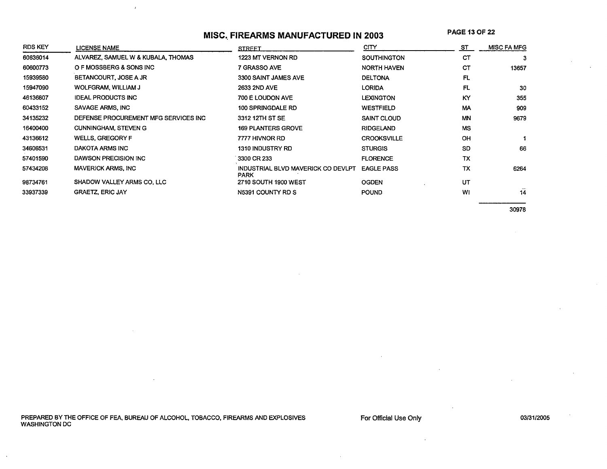# **MISC .. FIREARMS MANUFACTURED IN 2003**

**PAGE** 13 OF 22

| <b>RDS KEY</b> | LICENSE NAME                         | <b>STREET</b>                                     | <b>CITY</b>        | ST        | <b>MISC FA MFG</b> |
|----------------|--------------------------------------|---------------------------------------------------|--------------------|-----------|--------------------|
| 60636014       | ALVAREZ, SAMUEL W & KUBALA, THOMAS   | 1223 MT VERNON RD                                 | <b>SOUTHINGTON</b> | СŤ        |                    |
| 60600773       | O F MOSSBERG & SONS INC              | 7 GRASSO AVE                                      | <b>NORTH HAVEN</b> | CТ        | 13657              |
| 15939580       | BETANCOURT, JOSE A JR                | 3300 SAINT JAMES AVE                              | <b>DELTONA</b>     | FL        |                    |
| 15947090       | <b>WOLFGRAM, WILLIAM J</b>           | 2633 2ND AVE                                      | <b>LORIDA</b>      | FL        | 30                 |
| 46136807       | <b>IDEAL PRODUCTS INC</b>            | 700 E LOUDON AVE                                  | <b>LEXINGTON</b>   | KY        | 355                |
| 60433152       | SAVAGE ARMS, INC                     | 100 SPRINGDALE RD                                 | <b>WESTFIELD</b>   | МA        | 909                |
| 34135232       | DEFENSE PROCUREMENT MFG SERVICES INC | 3312 12TH ST SE                                   | <b>SAINT CLOUD</b> | <b>MN</b> | 9679               |
| 16400400       | <b>CUNNINGHAM, STEVEN G</b>          | <b>169 PLANTERS GROVE</b>                         | <b>RIDGELAND</b>   | <b>MS</b> |                    |
| 43136612       | <b>WELLS, GREGORY F</b>              | 7777 HIVNOR RD                                    | <b>CROOKSVILLE</b> | OH        |                    |
| 34606531       | DAKOTA ARMS INC                      | <b>1310 INDUSTRY RD</b>                           | <b>STURGIS</b>     | SD        | 66                 |
| 57401590       | DAWSON PRECISION INC                 | 3300 CR 233                                       | <b>FLORENCE</b>    | TX        |                    |
| 57434208       | <b>MAVERICK ARMS, INC</b>            | INDUSTRIAL BLVD MAVERICK CO DEVLPT<br><b>PARK</b> | <b>EAGLE PASS</b>  | TX        | 6264               |
| 98734761       | SHADOW VALLEY ARMS CO. LLC           | 2710 SOUTH 1900 WEST                              | <b>OGDEN</b>       | UT        |                    |
| 33937339       | <b>GRAETZ, ERIC JAY</b>              | N5391 COUNTY RD S                                 | POUND.             | WI        | 14                 |

30978

PREPARED BY THE OFFICE OF FEA, BUREAU OF ALCOHOL, TOBACCO, FIREARMS AND EXPLOSIVES WASHINGTON DC

 $\mathbf{r}$ 

For Official Use Only

0313112005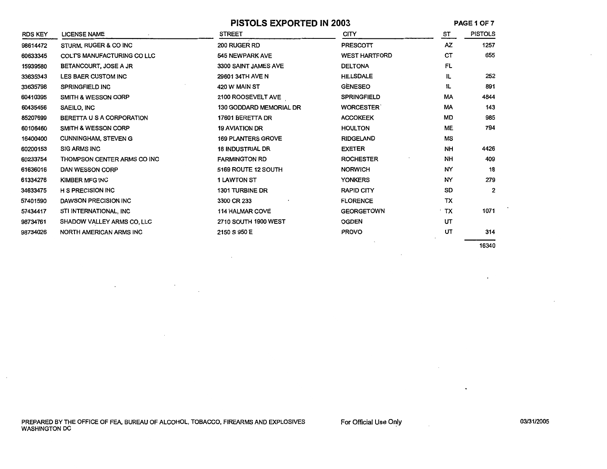|                |                                   |                                | PISTOLS EXPORTED IN 2003 |           | PAGE 1 OF 7    |  |
|----------------|-----------------------------------|--------------------------------|--------------------------|-----------|----------------|--|
| <b>RDS KEY</b> | <b>LICENSE NAME</b>               | <b>STREET</b>                  | <b>CITY</b>              | ST        | <b>PISTOLS</b> |  |
| 98614472       | STURM, RUGER & CO INC             | 200 RUGER RD                   | PRESCOTT                 | AZ        | 1257           |  |
| 60633345       | <b>COLTS MANUFACTURING CO LLC</b> | 545 NEWPARK AVE                | <b>WEST HARTFORD</b>     | CТ        | 655            |  |
| 15939580       | BETANCOURT, JOSE A JR             | 3300 SAINT JAMES AVE           | <b>DELTONA</b>           | FL        |                |  |
| 33635343       | LES BAER CUSTOM INC               | 29601 34TH AVE N               | <b>HILLSDALE</b>         | IL.       | 252            |  |
| 33635798       | SPRINGFIELD INC                   | 420 W MAIN ST                  | <b>GENESEO</b>           | 1L        | 891            |  |
| 60410395       | <b>SMITH &amp; WESSON CORP</b>    | 2100 ROOSEVELT AVE             | <b>SPRINGFIELD</b>       | МA        | 4844           |  |
| 60435456       | SAEILO, INC                       | <b>130 GODDARD MEMORIAL DR</b> | <b>WORCESTER</b>         | МA        | 143            |  |
| 85207699       | BERETTA U S A CORPORATION         | 17601 BERETTA DR               | <b>ACCOKEEK</b>          | MD        | 985            |  |
| 60106460       | <b>SMITH &amp; WESSON CORP</b>    | <b>19 AVIATION DR</b>          | <b>HOULTON</b>           | ME        | 794            |  |
| 16400400       | <b>CUNNINGHAM, STEVEN G</b>       | <b>169 PLANTERS GROVE</b>      | <b>RIDGELAND</b>         | MS        |                |  |
| 60200153       | <b>SIG ARMS INC</b>               | <b>18 INDUSTRIAL DR</b>        | <b>EXETER</b>            | NH        | 4426           |  |
| 60233754       | THOMPSON CENTER ARMS CO INC       | <b>FARMINGTON RD</b>           | <b>ROCHESTER</b>         | NΗ        | 409            |  |
| 61636016       | DAN WESSON CORP                   | 5169 ROUTE 12 SOUTH            | <b>NORWICH</b>           | NY        | 18             |  |
| 61334276       | KIMBER MFG INC                    | <b>1 LAWTON ST</b>             | <b>YONKERS</b>           | NY        | 279            |  |
| 34633475       | <b>H S PRECISION INC</b>          | 1301 TURBINE DR                | <b>RAPID CITY</b>        | SD        | $\overline{2}$ |  |
| 57401590       | <b>DAWSON PRECISION INC</b>       | 3300 CR 233                    | <b>FLORENCE</b>          | <b>TX</b> |                |  |
| 57434417       | STI INTERNATIONAL, INC            | <b>114 HALMAR COVE</b>         | <b>GEORGETOWN</b>        | ∸ TX      | 1071           |  |
| 98734761       | SHADOW VALLEY ARMS CO, LLC        | 2710 SOUTH 1900 WEST           | <b>OGDEN</b>             | UT        |                |  |
| 98734026       | NORTH AMERICAN ARMS INC           | 2150 S 950 E                   | <b>PROVO</b>             | UT        | 314            |  |
|                |                                   |                                |                          |           | 16340          |  |

For Official Use Only

 $\sim$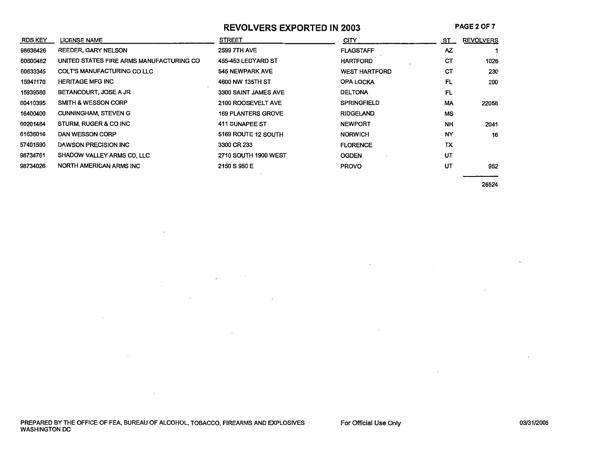**REVOLVERS EXPORTED IN 2003** 

**PAGE20F7** 

| <b>RDS KEY</b> | LICENSE NAME                             | <b>STREET</b>             | CITY                 | <u>st_</u> | <b>REVOLVERS</b> |
|----------------|------------------------------------------|---------------------------|----------------------|------------|------------------|
| 98638426       | REEDER, GARY NELSON                      | <b>2599 7TH AVE</b>       | <b>FLAGSTAFF</b>     | AZ.        |                  |
| 60600482       | UNITED STATES FIRE ARMS MANUFACTURING CO | 455-453 LEDYARD ST        | <b>HARTFORD</b>      | СT         | 1026             |
| 60633345       | <b>COLT'S MANUFACTURING CO LLC</b>       | 545 NEWPARK AVE           | <b>WEST HARTFORD</b> | CT         | 230              |
| 15941170       | <b>HERITAGE MFG INC</b>                  | 4600 NW 135TH ST          | <b>OPA LOCKA</b>     | FL         | 200              |
| 15939580       | BETANCOURT, JOSE A JR                    | 3300 SAINT JAMES AVE      | <b>DELTONA</b>       | FL         |                  |
| 60410395       | <b>SMITH &amp; WESSON CORP</b>           | 2100 ROOSEVELT AVE        | <b>SPRINGFIELD</b>   | MA         | 22058            |
| 16400400       | <b>CUNNINGHAM, STEVEN G</b>              | <b>169 PLANTERS GROVE</b> | <b>RIDGELAND</b>     | MS         |                  |
| 60201484       | STURM, RUGER & CO INC                    | <b>411 SUNAPEE ST</b>     | <b>NEWPORT</b>       | <b>NH</b>  | 2041             |
| 61636016       | <b>DAN WESSON CORP</b>                   | 5169 ROUTE 12 SOUTH       | <b>NORWICH</b>       | NY         | 16               |
| 57401590       | <b>DAWSON PRECISION INC</b>              | 3300 CR 233               | <b>FLORENCE</b>      | TX         |                  |
| 98734761       | SHADOW VALLEY ARMS CO, LLC               | 2710 SOUTH 1900 WEST      | <b>OGDEN</b>         | UT         |                  |
| 98734026       | <b>NORTH AMERICAN ARMS INC</b>           | 2150 S 950 E              | <b>PROVO</b>         | UT         | 952              |

 $\sim$ 

26524

 $\sim$ 

PREPARED BY THE OFFICE OF FEA, BUREAU OF ALCOHOL, TOBACCO, FIREARMS AND EXPLOSIVES WASHINGTON DC

 $\sim 100$  km s  $^{-1}$ 

 $\sim 100$ 

 $\sim 10^{-11}$ 

 $\sim 10^{-11}$ 

 $\label{eq:2.1} \frac{1}{\sqrt{2}}\int_{\mathbb{R}^3}\frac{1}{\sqrt{2}}\left(\frac{1}{\sqrt{2}}\right)^2\left(\frac{1}{\sqrt{2}}\right)^2\left(\frac{1}{\sqrt{2}}\right)^2\left(\frac{1}{\sqrt{2}}\right)^2\left(\frac{1}{\sqrt{2}}\right)^2\left(\frac{1}{\sqrt{2}}\right)^2\left(\frac{1}{\sqrt{2}}\right)^2.$ 

the contract of the contract of the

 $\sim 100$  km s  $^{-1}$ 

For Official Use Only

 $\sim$ 

 $\sim$ 

 $\sim 10^{-1}$ 

 $\sim$  $\sim$   $\cdot$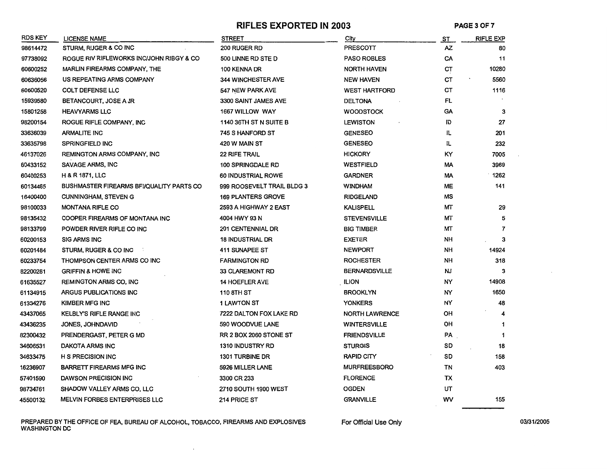#### RIFLES EXPORTED IN 2003 PAGE 3 OF 7

| <b>RDS KEY</b> | <b>LICENSE NAME</b>                      | <b>STREET</b>                 | City                  | <u>ST</u> | <b>RIFLE EXP</b> |
|----------------|------------------------------------------|-------------------------------|-----------------------|-----------|------------------|
| 98614472       | STURM, RUGER & CO INC                    | 200 RUGER RD                  | <b>PRESCOTT</b>       | AZ        | 80               |
| 97738092       | ROGUE RIV RIFLEWORKS INC/JOHN RIBGY & CO | 500 LINNE RD STE D            | <b>PASO ROBLES</b>    | CA        | 11               |
| 60600252       | MARLIN FIREARMS COMPANY, THE             | 100 KENNA DR                  | <b>NORTH HAVEN</b>    | CT        | 10280            |
| 60636056       | US REPEATING ARMS COMPANY                | <b>344 WINCHESTER AVE</b>     | <b>NEW HAVEN</b>      | <b>CT</b> | 5560             |
| 60600520       | <b>COLT DEFENSE LLC</b>                  | 547 NEW PARK AVE              | <b>WEST HARTFORD</b>  | СT        | 1116             |
| 15939580       | BETANCOURT, JOSE A JR                    | 3300 SAINT JAMES AVE          | <b>DELTONA</b>        | FL        |                  |
| 15801258       | <b>HEAVYARMS LLC</b>                     | 1667 WILLOW WAY               | <b>WOODSTOCK</b>      | GA        | 3                |
| 98200154       | ROGUE RIFLE COMPANY, INC                 | 1140 36TH ST N SUITE B        | <b>LEWISTON</b>       | ID        | 27               |
| 33636039       | <b>ARMALITE INC</b>                      | 745 S HANFORD ST              | <b>GENESEO</b>        | IL        | 201              |
| 33635798       | <b>SPRINGFIELD INC</b>                   | 420 W MAIN ST                 | <b>GENESEO</b>        | IL.       | 232              |
| 46137026       | <b>REMINGTON ARMS COMPANY, INC</b>       | <b>22 RIFE TRAIL</b>          | <b>HICKORY</b>        | ΚY        | 7005             |
| 60433152       | SAVAGE ARMS, INC                         | <b>100 SPRINGDALE RD</b>      | <b>WESTFIELD</b>      | МA        | 3969             |
| 60400253       | <b>H &amp; R 1871, LLC</b>               | 60 INDUSTRIAL ROWE            | <b>GARDNER</b>        | МA        | 1262             |
| 60134465       | BUSHMASTER FIREARMS BFI/QUALITY PARTS CO | 999 ROOSEVELT TRAIL BLDG 3    | <b>WINDHAM</b>        | <b>ME</b> | 141              |
| 16400400       | <b>CUNNINGHAM, STEVEN G</b>              | <b>169 PLANTERS GROVE</b>     | <b>RIDGELAND</b>      | ΜS        |                  |
| 98100033       | <b>MONTANA RIFLE CO</b>                  | 2593 A HIGHWAY 2 EAST         | <b>KALISPELL</b>      | МТ        | 29               |
| 98135432       | COOPER FIREARMS OF MONTANA INC           | 4004 HWY 93 N                 | <b>STEVENSVILLE</b>   | МΤ        | 5                |
| 98133799       | POWDER RIVER RIFLE CO INC                | 201 CENTENNIAL DR             | <b>BIG TIMBER</b>     | MТ        | 7                |
| 60200153       | <b>SIG ARMS INC</b>                      | <b>18 INDUSTRIAL DR</b>       | <b>EXETER</b>         | NH        | 3                |
| 60201484       | STURM, RUGER & CO INC                    | 411 SUNAPEE ST                | <b>NEWPORT</b>        | NΗ        | 14924            |
| 60233754       | THOMPSON CENTER ARMS CO INC              | <b>FARMINGTON RD</b>          | <b>ROCHESTER</b>      | NH        | 318              |
| 82200281       | <b>GRIFFIN &amp; HOWE INC</b>            | 33 CLAREMONT RD               | <b>BERNARDSVILLE</b>  | NJ        | 3                |
| 61635527       | <b>REMINGTON ARMS CO, INC</b>            | <b>14 HOEFLER AVE</b>         | <b>ILION</b>          | NΥ        | 14908            |
| 61134915       | ARGUS PUBLICATIONS INC                   | 110 8TH ST                    | <b>BROOKLYN</b>       | NΥ        | 1650             |
| 61334276       | <b>KIMBER MFG INC</b>                    | <b>1 LAWTON ST</b>            | <b>YONKERS</b>        | NΥ        | 48               |
| 43437065       | <b>KELBLY'S RIFLE RANGE INC</b>          | 7222 DALTON FOX LAKE RD       | <b>NORTH LAWRENCE</b> | OН        |                  |
| 43436235       | JONES, JOHNDAVID                         | 590 WOODVUE LANE              | <b>WINTERSVILLE</b>   | OН        | 1                |
| 82300432       | PRENDERGAST, PETER G MD                  | <b>RR 2 BOX 2060 STONE ST</b> | <b>FRIENDSVILLE</b>   | PA        | 1                |
| 34606531       | DAKOTA ARMS INC                          | <b>1310 INDUSTRY RD</b>       | <b>STURGIS</b>        | SD        | 18               |
| 34633475       | <b>H S PRECISION INC</b>                 | 1301 TURBINE DR               | <b>RAPID CITY</b>     | SD        | 158              |
| 16236907       | <b>BARRETT FIREARMS MFG INC</b>          | 5926 MILLER LANE              | <b>MURFREESBORO</b>   | TN        | 403              |
| 57401590       | DAWSON PRECISION INC                     | 3300 CR 233                   | <b>FLORENCE</b>       | TX        |                  |
| 98734761       | SHADOW VALLEY ARMS CO, LLC               | 2710 SOUTH 1900 WEST          | <b>OGDEN</b>          | UΤ        |                  |
| 45500132       | <b>MELVIN FORBES ENTERPRISES LLC</b>     | 214 PRICE ST                  | <b>GRANVILLE</b>      | wv        | 155              |

PREPARED BY THE OFFICE OF FEA, BUREAU OF ALCOHOL, TOBACCO, FIREARMS AND EXPLOSIVES For Official Use Only 03/31/2005 WASHINGTON DC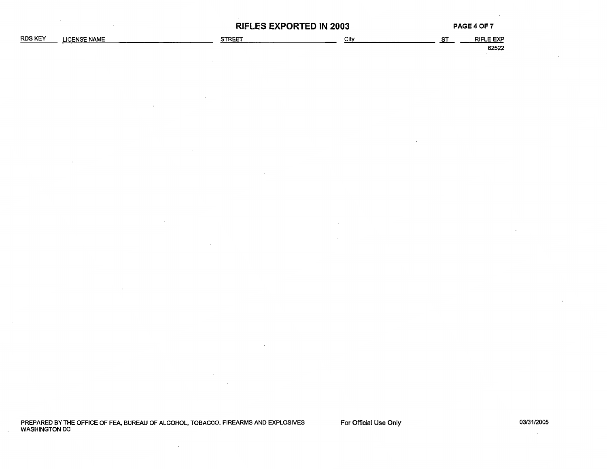|         |                     | <b>RIFLES EXPORTED IN 2003</b> |      |  | <b>PAGE 4 OF 7</b>        |
|---------|---------------------|--------------------------------|------|--|---------------------------|
| RDS KEY | <b>LICENSE NAME</b> | STREET                         | City |  | <b>RIFLE EXP</b><br>62522 |
|         |                     |                                |      |  |                           |

 $\overline{\phantom{a}}$ 

 $\overline{\phantom{a}}$ 

PREPARED BY THE OFFICE OF FEA, BUREAU OF ALCOHOL, TOBACCO, FIREARMS AND EXPLOSIVES WASHINGTON DC

 $\lambda$ 

For Official Use Only

03/31/2005  $\sim$   $\sim$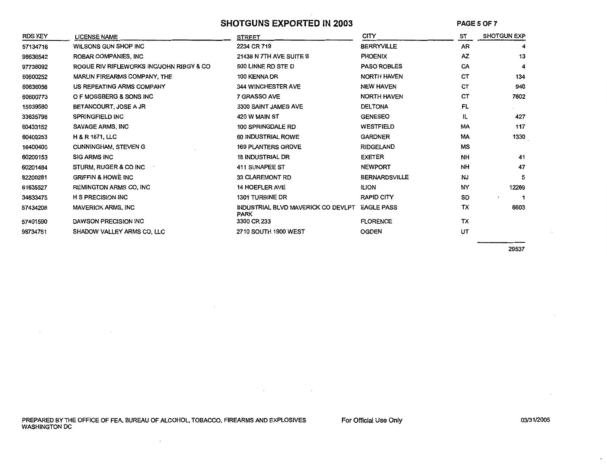### **SHOTGUNS EXPORTED IN 2003**

**PAGES OF7** 

| <b>RDS KEY</b> | <b>LICENSE NAME</b>                      | <b>STREET</b>                                     | <b>CITY</b>          | ST        | <b>SHOTGUN EXP</b> |
|----------------|------------------------------------------|---------------------------------------------------|----------------------|-----------|--------------------|
| 57134716       | WILSONS GUN SHOP INC                     | 2234 CR 719                                       | <b>BERRYVILLE</b>    | <b>AR</b> | 4                  |
| 98636542       | ROBAR COMPANIES, INC.                    | 21438 N 7TH AVE SUITE B                           | <b>PHOENIX</b>       | AZ        | 13                 |
| 97738092       | ROGUE RIV RIFLEWORKS INC/JOHN RIBGY & CO | 500 LINNE RD STE D                                | <b>PASO ROBLES</b>   | CA        | 4                  |
| 60600252       | MARLIN FIREARMS COMPANY, THE             | 100 KENNA DR                                      | <b>NORTH HAVEN</b>   | <b>CT</b> | 134                |
| 60636056       | US REPEATING ARMS COMPANY                | 344 WINCHESTER AVE                                | <b>NEW HAVEN</b>     | CТ        | 940                |
| 60600773       | O F MOSSBERG & SONS INC                  | 7 GRASSO AVE                                      | <b>NORTH HAVEN</b>   | СT        | 7602               |
| 15939580       | BETANCOURT, JOSE A JR                    | 3300 SAINT JAMES AVE                              | <b>DELTONA</b>       | FL        |                    |
| 33635798       | SPRINGFIELD INC                          | 420 W MAIN ST                                     | <b>GENESEO</b>       | IL        | 427                |
| 60433152       | SAVAGE ARMS, INC                         | 100 SPRINGDALE RD                                 | <b>WESTFIELD</b>     | <b>MA</b> | 117                |
| 60400253       | <b>H &amp; R 1871, LLC</b>               | 60 INDUSTRIAL ROWE                                | <b>GARDNER</b>       | <b>MA</b> | 1330               |
| 16400400       | <b>CUNNINGHAM, STEVEN G</b>              | <b>169 PLANTERS GROVE</b>                         | <b>RIDGELAND</b>     | MS        |                    |
| 60200153       | <b>SIG ARMS INC</b>                      | <b>18 INDUSTRIAL DR</b>                           | <b>EXETER</b>        | <b>NH</b> | 41                 |
| 60201484       | STURM, RUGER & CO INC                    | 411 SUNAPEE ST                                    | <b>NEWPORT</b>       | <b>NH</b> | 47                 |
| 82200281       | <b>GRIFFIN &amp; HOWE INC</b>            | 33 CLAREMONT RD                                   | <b>BERNARDSVILLE</b> | <b>NJ</b> | 5                  |
| 61635527       | <b>REMINGTON ARMS CO, INC</b>            | <b>14 HOEFLER AVE</b>                             | <b>ILION</b>         | NY        | 12269              |
| 34633475       | <b>H S PRECISION INC</b>                 | 1301 TURBINE DR                                   | <b>RAPID CITY</b>    | SD        | $\pmb{\cdot}$      |
| 57434208       | <b>MAVERICK ARMS, INC</b>                | INDUSTRIAL BLVD MAVERICK CO DEVLPT<br><b>PARK</b> | <b>EAGLE PASS</b>    | TX        | 6603               |
| 57401590       | DAWSON PRECISION INC                     | 3300 CR 233                                       | <b>FLORENCE</b>      | <b>TX</b> |                    |
| 98734761       | SHADOW VALLEY ARMS CO. LLC               | 2710 SOUTH 1900 WEST                              | <b>OGDEN</b>         | UT        |                    |

29537

PREPARED BY THE OFFICE OF FEA, BUREAU OF ALCOHOL, TOBACCO, FIREARMS AND EXPLOSIVES WASHINGTON DC

 $\bar{z}$ 

 $\sim$ 

 $\mathbf{r}$